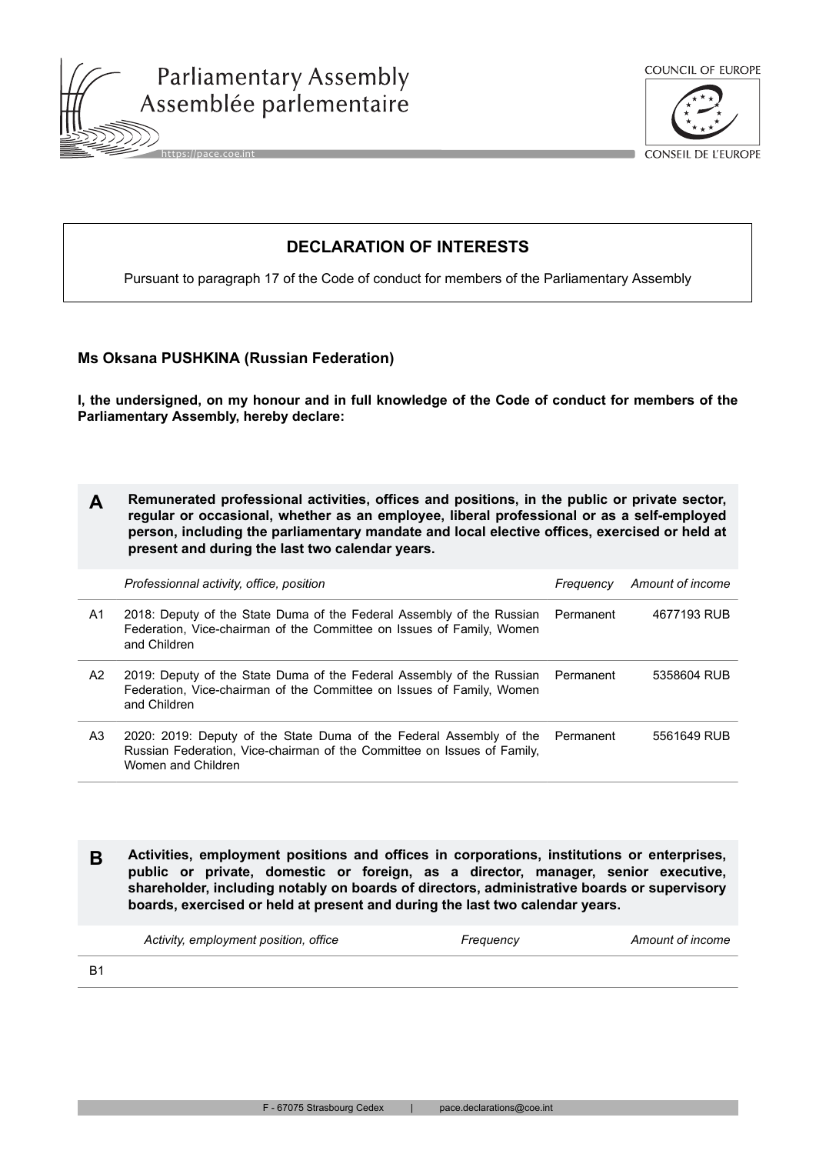





CONSEIL DE L'EUROPE

# **DECLARATION OF INTERESTS**

Pursuant to paragraph 17 of the Code of conduct for members of the Parliamentary Assembly

## **Ms Oksana PUSHKINA (Russian Federation)**

**I, the undersigned, on my honour and in full knowledge of the Code of conduct for members of the Parliamentary Assembly, hereby declare:**

| Remunerated professional activities, offices and positions, in the public or private sector, |
|----------------------------------------------------------------------------------------------|
| regular or occasional, whether as an employee, liberal professional or as a self-employed    |
| person, including the parliamentary mandate and local elective offices, exercised or held at |
| present and during the last two calendar years.                                              |

|    | Professionnal activity, office, position                                                                                                                                 | Freauency | Amount of income |
|----|--------------------------------------------------------------------------------------------------------------------------------------------------------------------------|-----------|------------------|
| A1 | 2018: Deputy of the State Duma of the Federal Assembly of the Russian Permanent<br>Federation, Vice-chairman of the Committee on Issues of Family, Women<br>and Children |           | 4677193 RUB      |
| A2 | 2019: Deputy of the State Duma of the Federal Assembly of the Russian Permanent<br>Federation, Vice-chairman of the Committee on Issues of Family, Women<br>and Children |           | 5358604 RUB      |
| A3 | 2020: 2019: Deputy of the State Duma of the Federal Assembly of the<br>Russian Federation, Vice-chairman of the Committee on Issues of Family,<br>Women and Children     | Permanent | 5561649 RUB      |

**B Activities, employment positions and offices in corporations, institutions or enterprises, public or private, domestic or foreign, as a director, manager, senior executive, shareholder, including notably on boards of directors, administrative boards or supervisory boards, exercised or held at present and during the last two calendar years.**

| Activity, employment position, office | Frequency | Amount of income |
|---------------------------------------|-----------|------------------|
|---------------------------------------|-----------|------------------|

**B1**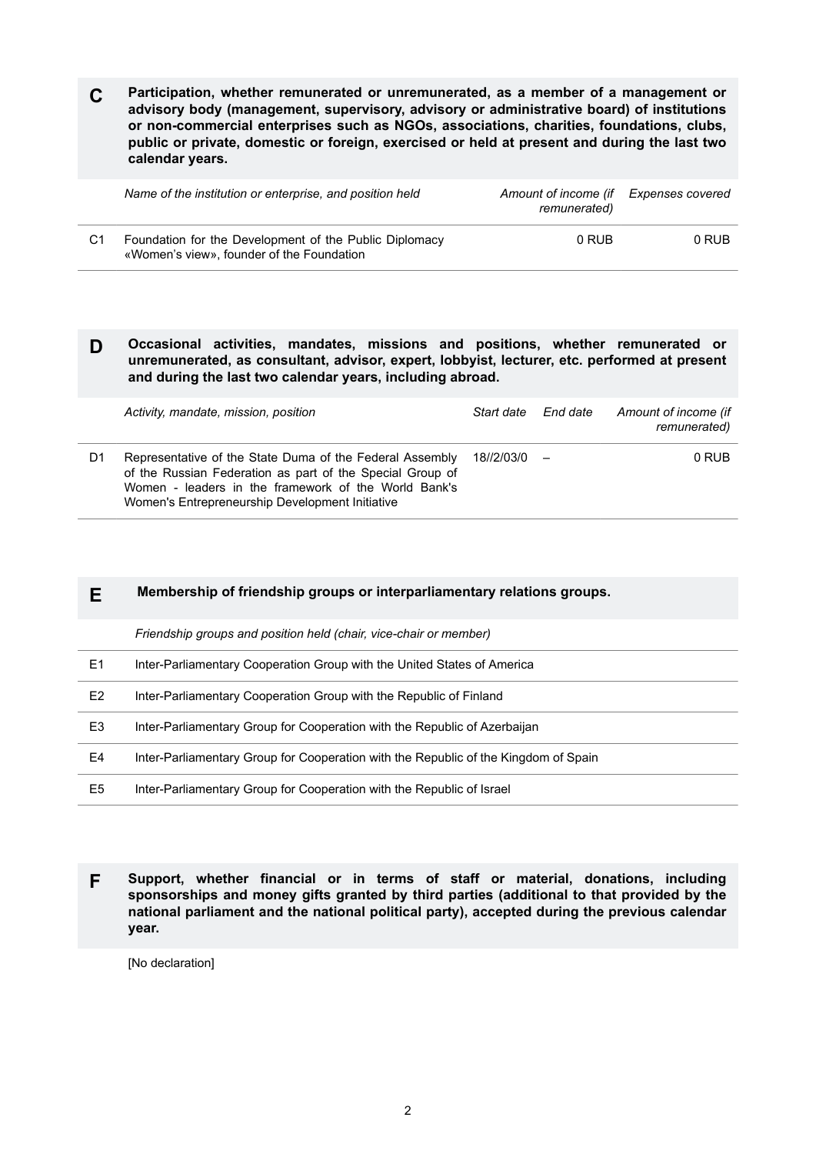**C Participation, whether remunerated or unremunerated, as a member of a management or advisory body (management, supervisory, advisory or administrative board) of institutions or non-commercial enterprises such as NGOs, associations, charities, foundations, clubs, public or private, domestic or foreign, exercised or held at present and during the last two calendar years.**

|    | Name of the institution or enterprise, and position held                                            | Amount of income (if<br>remunerated) | Expenses covered |
|----|-----------------------------------------------------------------------------------------------------|--------------------------------------|------------------|
| C1 | Foundation for the Development of the Public Diplomacy<br>«Women's view», founder of the Foundation | 0 RUB                                | 0 RUB            |

### **D Occasional activities, mandates, missions and positions, whether remunerated or unremunerated, as consultant, advisor, expert, lobbyist, lecturer, etc. performed at present and during the last two calendar years, including abroad.**

|    | Activity, mandate, mission, position                                                                                                                                                                                             | Start date | End date | Amount of income (if<br>remunerated) |
|----|----------------------------------------------------------------------------------------------------------------------------------------------------------------------------------------------------------------------------------|------------|----------|--------------------------------------|
| D1 | Representative of the State Duma of the Federal Assembly<br>of the Russian Federation as part of the Special Group of<br>Women - leaders in the framework of the World Bank's<br>Women's Entrepreneurship Development Initiative | 18//2/03/0 |          | 0 RUB                                |

## **E Membership of friendship groups or interparliamentary relations groups.**

*Friendship groups and position held (chair, vice-chair or member)*

| E1             | Inter-Parliamentary Cooperation Group with the United States of America             |
|----------------|-------------------------------------------------------------------------------------|
| E <sub>2</sub> | Inter-Parliamentary Cooperation Group with the Republic of Finland                  |
| E3             | Inter-Parliamentary Group for Cooperation with the Republic of Azerbaijan           |
| E4             | Inter-Parliamentary Group for Cooperation with the Republic of the Kingdom of Spain |
| E5             | Inter-Parliamentary Group for Cooperation with the Republic of Israel               |

**F Support, whether financial or in terms of staff or material, donations, including sponsorships and money gifts granted by third parties (additional to that provided by the national parliament and the national political party), accepted during the previous calendar year.**

[No declaration]